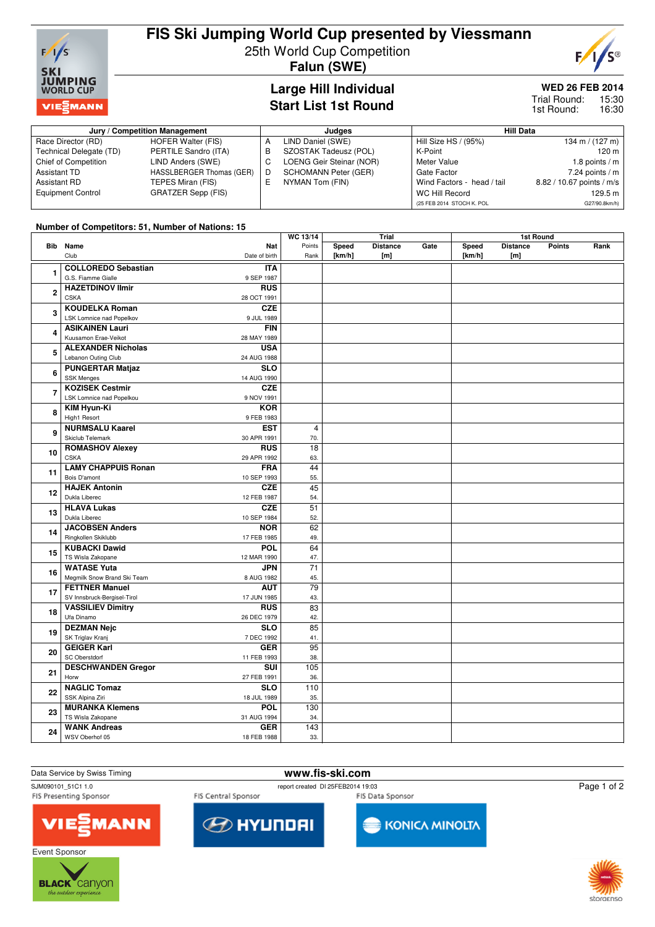

# **FIS Ski Jumping World Cup presented by Viessmann**

25th World Cup Competition

**Falun (SWE)**

### **Large Hill Individual Start List 1st Round**

## **WED 26 FEB 2014**

 $F/I$ 

**S®** 

15:30 16:30 Trial Round: 1st Round:

| Jury / Competition Management |                          |   | Judges                      | <b>Hill Data</b>           |                           |  |
|-------------------------------|--------------------------|---|-----------------------------|----------------------------|---------------------------|--|
| Race Director (RD)            | HOFER Walter (FIS)       | A | LIND Daniel (SWE)           | Hill Size HS / (95%)       | 134 m / $(127 \text{ m})$ |  |
| Technical Delegate (TD)       | PERTILE Sandro (ITA)     | в | SZOSTAK Tadeusz (POL)       | K-Point                    | 120 m                     |  |
| Chief of Competition          | LIND Anders (SWE)        |   | LOENG Geir Steinar (NOR)    | Meter Value                | 1.8 points / m            |  |
| Assistant TD                  | HASSLBERGER Thomas (GER) |   | <b>SCHOMANN Peter (GER)</b> | Gate Factor                | 7.24 points $/m$          |  |
| Assistant RD                  | TEPES Miran (FIS)        |   | NYMAN Tom (FIN)             | Wind Factors - head / tail | 8.82 / 10.67 points / m/s |  |
| <b>Equipment Control</b>      | GRATZER Sepp (FIS)       |   |                             | WC Hill Record             | 129.5 m                   |  |
|                               |                          |   |                             | (25 FEB 2014 STOCH K. POL  | G27/90.8km/h)             |  |

#### **Number of Competitors: 51, Number of Nations: 15**

|                |                                            |            | WC 13/14        | Trial  |                 | 1st Round |        |                 |               |      |
|----------------|--------------------------------------------|------------|-----------------|--------|-----------------|-----------|--------|-----------------|---------------|------|
|                | <b>Bib</b> Name                            | Nat        | Points          | Speed  | <b>Distance</b> | Gate      | Speed  | <b>Distance</b> | <b>Points</b> | Rank |
|                | Club<br>Date of birth                      |            | Rank            | [km/h] | [m]             |           | [km/h] | [m]             |               |      |
|                | <b>COLLOREDO Sebastian</b>                 | <b>ITA</b> |                 |        |                 |           |        |                 |               |      |
| 1              | G.S. Fiamme Gialle<br>9 SEP 1987           |            |                 |        |                 |           |        |                 |               |      |
| $\overline{2}$ | <b>HAZETDINOV Ilmir</b>                    | <b>RUS</b> |                 |        |                 |           |        |                 |               |      |
|                | <b>CSKA</b><br>28 OCT 1991                 |            |                 |        |                 |           |        |                 |               |      |
| 3              | <b>KOUDELKA Roman</b>                      | <b>CZE</b> |                 |        |                 |           |        |                 |               |      |
|                | LSK Lomnice nad Popelkov<br>9 JUL 1989     |            |                 |        |                 |           |        |                 |               |      |
|                | <b>ASIKAINEN Lauri</b>                     | <b>FIN</b> |                 |        |                 |           |        |                 |               |      |
| 4              | Kuusamon Erae-Veikot<br>28 MAY 1989        |            |                 |        |                 |           |        |                 |               |      |
|                | <b>ALEXANDER Nicholas</b>                  | <b>USA</b> |                 |        |                 |           |        |                 |               |      |
| 5              | Lebanon Outing Club<br>24 AUG 1988         |            |                 |        |                 |           |        |                 |               |      |
|                | <b>PUNGERTAR Matjaz</b>                    | <b>SLO</b> |                 |        |                 |           |        |                 |               |      |
| 6              | <b>SSK Menges</b><br>14 AUG 1990           |            |                 |        |                 |           |        |                 |               |      |
|                | <b>KOZISEK Cestmir</b>                     | <b>CZE</b> |                 |        |                 |           |        |                 |               |      |
| $\overline{7}$ | LSK Lomnice nad Popelkou<br>9 NOV 1991     |            |                 |        |                 |           |        |                 |               |      |
|                | <b>KIM Hyun-Ki</b>                         | <b>KOR</b> |                 |        |                 |           |        |                 |               |      |
| 8              | High1 Resort<br>9 FEB 1983                 |            |                 |        |                 |           |        |                 |               |      |
|                | <b>NURMSALU Kaarel</b>                     | <b>EST</b> | $\overline{4}$  |        |                 |           |        |                 |               |      |
| 9              | Skiclub Telemark<br>30 APR 1991            |            | 70.             |        |                 |           |        |                 |               |      |
|                | <b>ROMASHOV Alexey</b>                     | <b>RUS</b> | 18              |        |                 |           |        |                 |               |      |
| 10             | <b>CSKA</b><br>29 APR 1992                 |            | 63.             |        |                 |           |        |                 |               |      |
|                | <b>LAMY CHAPPUIS Ronan</b>                 | <b>FRA</b> | 44              |        |                 |           |        |                 |               |      |
| 11             | Bois D'amont<br>10 SEP 1993                |            | 55.             |        |                 |           |        |                 |               |      |
| 12             | <b>HAJEK Antonin</b>                       | <b>CZE</b> | 45              |        |                 |           |        |                 |               |      |
|                | Dukla Liberec<br>12 FEB 1987               |            | 54.             |        |                 |           |        |                 |               |      |
|                | <b>HLAVA Lukas</b>                         | <b>CZE</b> | $\overline{51}$ |        |                 |           |        |                 |               |      |
| 13             | Dukla Liberec<br>10 SEP 1984               |            | 52.             |        |                 |           |        |                 |               |      |
| 14             | <b>JACOBSEN Anders</b>                     | <b>NOR</b> | 62              |        |                 |           |        |                 |               |      |
|                | Ringkollen Skiklubb<br>17 FEB 1985         |            | 49.             |        |                 |           |        |                 |               |      |
| 15             | <b>KUBACKI Dawid</b>                       | <b>POL</b> | 64              |        |                 |           |        |                 |               |      |
|                | TS Wisla Zakopane<br>12 MAR 1990           |            | 47.             |        |                 |           |        |                 |               |      |
| 16             | <b>WATASE Yuta</b>                         | <b>JPN</b> | 71              |        |                 |           |        |                 |               |      |
|                | Megmilk Snow Brand Ski Team<br>8 AUG 1982  |            | 45.             |        |                 |           |        |                 |               |      |
| 17             | <b>FETTNER Manuel</b>                      | <b>AUT</b> | $\overline{79}$ |        |                 |           |        |                 |               |      |
|                | SV Innsbruck-Bergisel-Tirol<br>17 JUN 1985 |            | 43.             |        |                 |           |        |                 |               |      |
| 18             | <b>VASSILIEV Dimitry</b>                   | <b>RUS</b> | $\overline{83}$ |        |                 |           |        |                 |               |      |
|                | Ufa Dinamo<br>26 DEC 1979                  |            | 42.             |        |                 |           |        |                 |               |      |
| 19             | <b>DEZMAN Nejc</b>                         | <b>SLO</b> | 85              |        |                 |           |        |                 |               |      |
|                | SK Triglav Kranj<br>7 DEC 1992             |            | 41.             |        |                 |           |        |                 |               |      |
| 20             | <b>GEIGER Karl</b>                         | <b>GER</b> | 95              |        |                 |           |        |                 |               |      |
|                | SC Oberstdorf<br>11 FEB 1993               |            | 38.             |        |                 |           |        |                 |               |      |
| 21             | <b>DESCHWANDEN Gregor</b>                  | <b>SUI</b> | 105             |        |                 |           |        |                 |               |      |
|                | Horw<br>27 FEB 1991                        |            | 36.             |        |                 |           |        |                 |               |      |
| 22             | <b>NAGLIC Tomaz</b>                        | <b>SLO</b> | 110             |        |                 |           |        |                 |               |      |
|                | SSK Alpina Ziri<br>18 JUL 1989             |            | 35.             |        |                 |           |        |                 |               |      |
| 23             | <b>MURANKA Klemens</b>                     | <b>POL</b> | 130             |        |                 |           |        |                 |               |      |
|                | TS Wisla Zakopane<br>31 AUG 1994           |            | 34.             |        |                 |           |        |                 |               |      |
| 24             | <b>WANK Andreas</b>                        | <b>GER</b> | 143             |        |                 |           |        |                 |               |      |
|                | WSV Oberhof 05<br>18 FEB 1988              |            | 33.             |        |                 |           |        |                 |               |      |



SJM090101\_51C1 1.0<br>FIS Presenting Sponsor FIS Central Sponsor FIS Central Sponsor FIS Presenting Sponsor

FIS Central Sponsor

FIS Data Sponsor

Page 1 of 2







KONICA MINOLTA